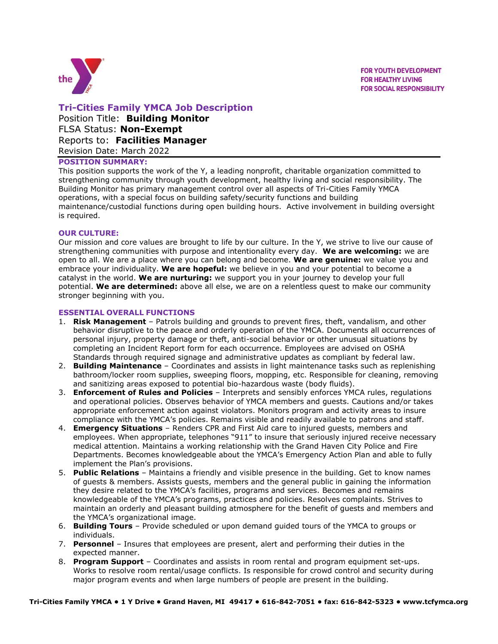

**FOR YOUTH DEVELOPMENT FOR HEALTHY LIVING FOR SOCIAL RESPONSIBILITY** 

# **Tri-Cities Family YMCA Job Description**

Position Title: **Building Monitor** FLSA Status: **Non-Exempt** Reports to: **Facilities Manager** Revision Date: March 2022

## **POSITION SUMMARY:**

This position supports the work of the Y, a leading nonprofit, charitable organization committed to strengthening community through youth development, healthy living and social responsibility. The Building Monitor has primary management control over all aspects of Tri-Cities Family YMCA operations, with a special focus on building safety/security functions and building maintenance/custodial functions during open building hours. Active involvement in building oversight is required.

## **OUR CULTURE:**

Our mission and core values are brought to life by our culture. In the Y, we strive to live our cause of strengthening communities with purpose and intentionality every day. **We are welcoming:** we are open to all. We are a place where you can belong and become. **We are genuine:** we value you and embrace your individuality. **We are hopeful:** we believe in you and your potential to become a catalyst in the world. **We are nurturing:** we support you in your journey to develop your full potential. **We are determined:** above all else, we are on a relentless quest to make our community stronger beginning with you.

#### **ESSENTIAL OVERALL FUNCTIONS**

- 1. **Risk Management** Patrols building and grounds to prevent fires, theft, vandalism, and other behavior disruptive to the peace and orderly operation of the YMCA. Documents all occurrences of personal injury, property damage or theft, anti-social behavior or other unusual situations by completing an Incident Report form for each occurrence. Employees are advised on OSHA Standards through required signage and administrative updates as compliant by federal law.
- 2. **Building Maintenance** Coordinates and assists in light maintenance tasks such as replenishing bathroom/locker room supplies, sweeping floors, mopping, etc. Responsible for cleaning, removing and sanitizing areas exposed to potential bio-hazardous waste (body fluids).
- 3. **Enforcement of Rules and Policies** Interprets and sensibly enforces YMCA rules, regulations and operational policies. Observes behavior of YMCA members and guests. Cautions and/or takes appropriate enforcement action against violators. Monitors program and activity areas to insure compliance with the YMCA's policies. Remains visible and readily available to patrons and staff.
- 4. **Emergency Situations** Renders CPR and First Aid care to injured guests, members and employees. When appropriate, telephones "911" to insure that seriously injured receive necessary medical attention. Maintains a working relationship with the Grand Haven City Police and Fire Departments. Becomes knowledgeable about the YMCA's Emergency Action Plan and able to fully implement the Plan's provisions.
- 5. **Public Relations** Maintains a friendly and visible presence in the building. Get to know names of guests & members. Assists guests, members and the general public in gaining the information they desire related to the YMCA's facilities, programs and services. Becomes and remains knowledgeable of the YMCA's programs, practices and policies. Resolves complaints. Strives to maintain an orderly and pleasant building atmosphere for the benefit of guests and members and the YMCA's organizational image.
- 6. **Building Tours** Provide scheduled or upon demand guided tours of the YMCA to groups or individuals.
- 7. **Personnel** Insures that employees are present, alert and performing their duties in the expected manner.
- 8. **Program Support** Coordinates and assists in room rental and program equipment set-ups. Works to resolve room rental/usage conflicts. Is responsible for crowd control and security during major program events and when large numbers of people are present in the building.